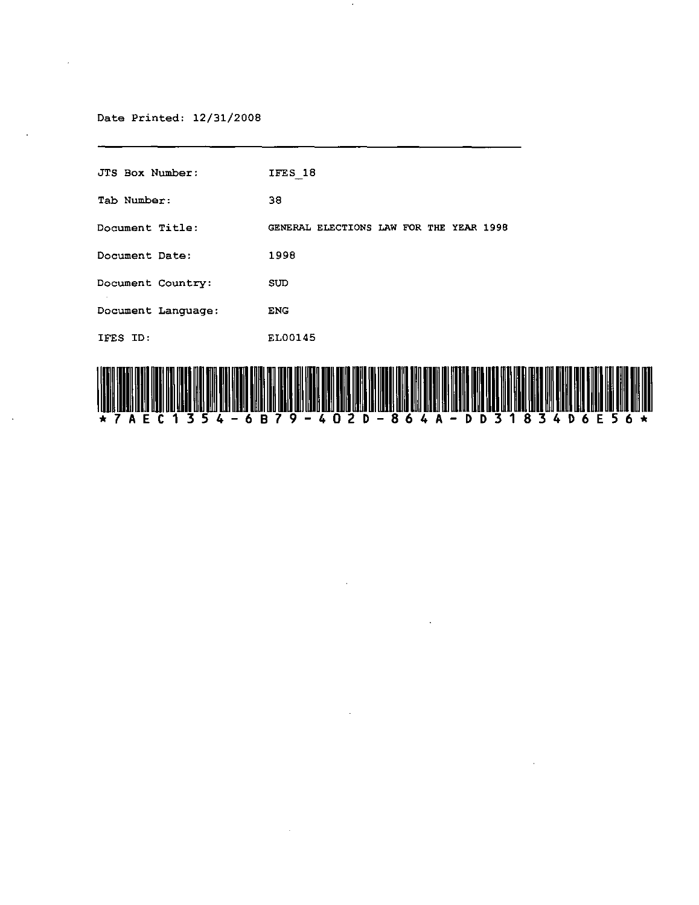# Date Printed: 12/31/2008

| <b>JTS Box Number:</b> | IFES 18                                                                                                                                          |
|------------------------|--------------------------------------------------------------------------------------------------------------------------------------------------|
| Tab Number:            | 38                                                                                                                                               |
| <b>Document Title:</b> | GENERAL ELECTIONS LAW FOR THE YEAR 1998                                                                                                          |
| Document Date:         | 1998                                                                                                                                             |
| Document Country:      | <b>SUD</b>                                                                                                                                       |
| Document Language:     | <b>ENG</b>                                                                                                                                       |
| IFES ID:               | EL00145                                                                                                                                          |
|                        | i jeno meni majë Neo na mus Mëleva ari metë ENSI ma mus Sil MSR emi antë MM je mesh Mih ENO erre iti MSR men mes MSI MSI mus MM MSM min anëtë MS |

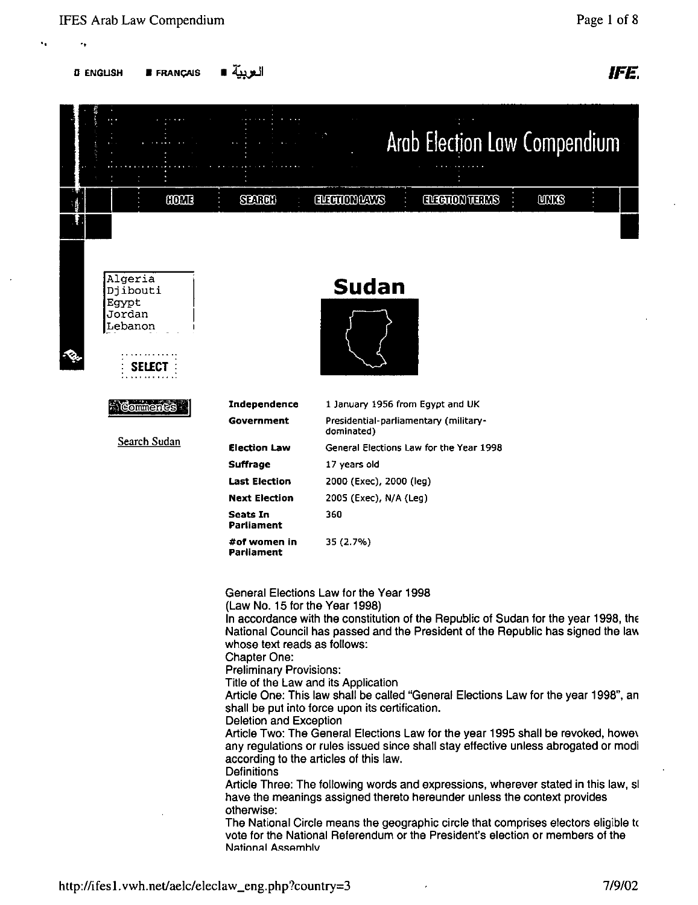**" 0,** 

 $D$  English • Français •  $\blacksquare$ العربيّة •  $\blacksquare$  FE.

| 0001                                                      | <b>SEARCH</b>                                                                                                                                                                                                                                                                         | <b>ALENOTOWES</b>                                                                          | Arab Election Law Compendium<br><b>ELECTOR TERMS</b>                                                                                                       | <b>ULLIS</b>                                                                                                                                                                                                                                                                                                                                                                                                                                                                                                                                                                                                            |
|-----------------------------------------------------------|---------------------------------------------------------------------------------------------------------------------------------------------------------------------------------------------------------------------------------------------------------------------------------------|--------------------------------------------------------------------------------------------|------------------------------------------------------------------------------------------------------------------------------------------------------------|-------------------------------------------------------------------------------------------------------------------------------------------------------------------------------------------------------------------------------------------------------------------------------------------------------------------------------------------------------------------------------------------------------------------------------------------------------------------------------------------------------------------------------------------------------------------------------------------------------------------------|
| Algeria<br>Djibouti<br>Egypt<br>Jordan<br>Lebanon<br>SELE |                                                                                                                                                                                                                                                                                       | Sudan                                                                                      |                                                                                                                                                            |                                                                                                                                                                                                                                                                                                                                                                                                                                                                                                                                                                                                                         |
| Comments                                                  | Independence                                                                                                                                                                                                                                                                          | 1 January 1956 from Egypt and UK                                                           |                                                                                                                                                            |                                                                                                                                                                                                                                                                                                                                                                                                                                                                                                                                                                                                                         |
|                                                           | Government                                                                                                                                                                                                                                                                            | Presidential-parliamentary (military-<br>dominated)                                        |                                                                                                                                                            |                                                                                                                                                                                                                                                                                                                                                                                                                                                                                                                                                                                                                         |
| Search Sudan                                              | <b>Election Law</b>                                                                                                                                                                                                                                                                   | General Elections Law for the Year 1998                                                    |                                                                                                                                                            |                                                                                                                                                                                                                                                                                                                                                                                                                                                                                                                                                                                                                         |
|                                                           | <b>Suffrage</b>                                                                                                                                                                                                                                                                       | 17 years old                                                                               |                                                                                                                                                            |                                                                                                                                                                                                                                                                                                                                                                                                                                                                                                                                                                                                                         |
|                                                           | <b>Last Election</b>                                                                                                                                                                                                                                                                  | 2000 (Exec), 2000 (leg)                                                                    |                                                                                                                                                            |                                                                                                                                                                                                                                                                                                                                                                                                                                                                                                                                                                                                                         |
|                                                           | <b>Next Election</b>                                                                                                                                                                                                                                                                  | 2005 (Exec), N/A (Leg)                                                                     |                                                                                                                                                            |                                                                                                                                                                                                                                                                                                                                                                                                                                                                                                                                                                                                                         |
|                                                           | <b>Seats In</b><br>Parliament                                                                                                                                                                                                                                                         | 360                                                                                        |                                                                                                                                                            |                                                                                                                                                                                                                                                                                                                                                                                                                                                                                                                                                                                                                         |
|                                                           | #of women in<br><b>Parliament</b>                                                                                                                                                                                                                                                     | 35 (2.7%)                                                                                  |                                                                                                                                                            |                                                                                                                                                                                                                                                                                                                                                                                                                                                                                                                                                                                                                         |
|                                                           | (Law No. 15 for the Year 1998)<br>whose text reads as follows:<br>Chapter One:<br><b>Preliminary Provisions:</b><br>Title of the Law and its Application<br><b>Deletion and Exception</b><br>according to the articles of this law.<br>Definitions<br>otherwise:<br>National Assembly | General Elections Law for the Year 1998<br>shall be put into force upon its certification. | have the meanings assigned thereto hereunder unless the context provides<br>vote for the National Referendum or the President's election or members of the | In accordance with the constitution of the Republic of Sudan for the year 1998, the<br>National Council has passed and the President of the Republic has signed the law<br>Article One: This law shall be called "General Elections Law for the year 1998", an<br>Article Two: The General Elections Law for the year 1995 shall be revoked, howev<br>any regulations or rules issued since shall stay effective unless abrogated or modi<br>Article Three: The following words and expressions, wherever stated in this law, sl<br>The National Circle means the geographic circle that comprises electors eligible to |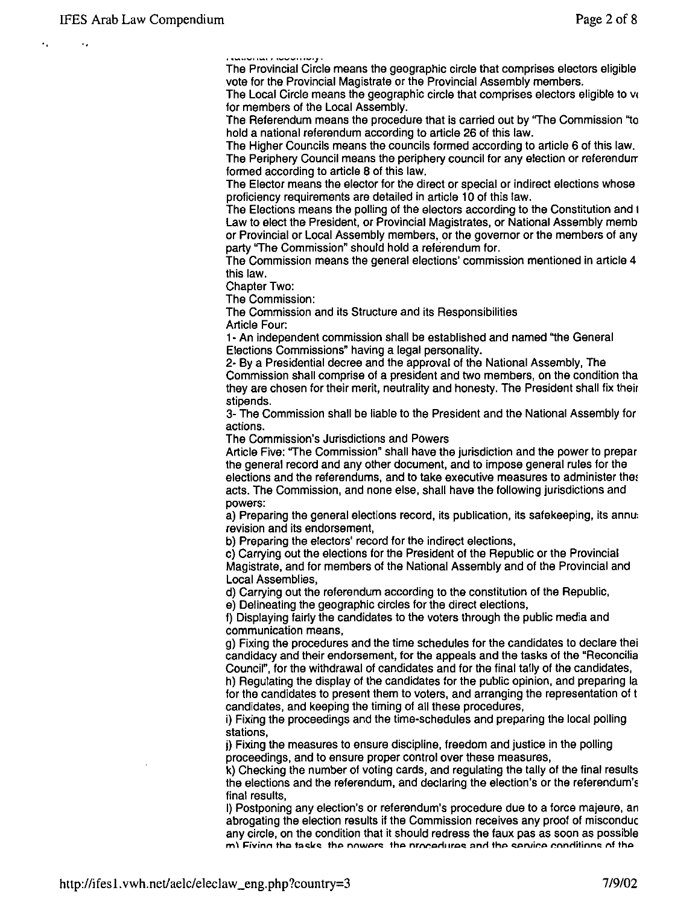$\ddot{\phantom{0}}$ 

**...................** *· ......... ···\_·z·* 

The Provincial Circle means the geographic circle that comprises electors eligible vote for the Provincial Magistrate or the Provincial Assembly members.

The Local Circle means the geographic circle that comprises electors eligible to vc for members of the Local Assembly.

The Referendum means the procedure that is carried out by ''The Commission "to hold a national referendum according to article 26 of this law.

The Higher Councils means the councils formed according to article 6 of this law. The Periphery Council means the periphery council for any election or referendurr formed according to article 8 of this law.

The Elector means the elector for the direct or special or indirect elections whose proficiency requirements are detailed in article 10 of this law.

The Elections means the polling of the electors according to the Constitution and t Law to elect the President, or Provincial Magistrates, or National Assembly memb or Provincial or Local Assembly members, or the govemor or the members of any party "The Commission" should hold a referendum for.

The Commission means the general elections' commission mentioned in article 4 this law.

Chapter Two:

The Commission:

The Commission and its Structure and its Responsibilities Article Four:

1- An independent commission shall be established and named "the General Elections Commissions" having a legal personality.

2- By a Presidential decree and the approval of the National Assembly, The Commission shall comprise of a president and two members, on the condition tha they are chosen for their merit, neutrality and honesty. The President shall fix their stipends.

3- The Commission shall be liable to the President and the National Assembly for actions.

The Commission's Jurisdictions and Powers

Article Five: "The Commission" shall have the jurisdiction and the power to prepar the general record and any other document, and to impose general rules for the elections and the referendums, and to take executive measures to administer the: acts. The Commission, and none else, shall have the following jurisdictions and powers:

a) Preparing the general elections record, its publication, its safekeeping, its annu: revision and its endorsement,

b) Preparing the electors' record for the indirect elections,

c) Carrying out the elections for the President of the Republic or the Provincial Magistrate, and for members of the National Assembly and of the Provincial and Local Assemblies,

d) Carrying out the referendum according to the constitution of the Republic,

e) Delineating the geographic circles for the direct elections,

f) Displaying fairly the candidates to the voters through the public media and communication means,

g) Fixing the procedures and the time schedules for the candidates to declare thei candidacy and their endorsement, for the appeals and the tasks of the "Reconcilia Council", for the withdrawal of candidates and for the final tally of the candidates,

h) Regulating the display of the candidates for the public opinion, and preparing la for the candidates to present them to voters, and arranging the representation of t candidates, and keeping the timing of all these procedures,

i) Fixing the proceedings and the time-schedules and preparing the local polling stations,

j) Fixing the measures to ensure discipline, freedom and justice in the polling proceedings, and to ensure proper control over these measures,

k) Checking the number of voting cards, and regulating the tally of the final results the elections and the referendum, and declaring the election's or the referendum's final results,

I) Postponing any election's or referendum's procedure due to a force majeure, an abrogating the election results if the Commission receives any proof of misconduc any circle, on the condition that it should redress the faux pas as soon as possible  $m'$  Fivinn the tasks: the nowers: the procedures and the sensice conditions of the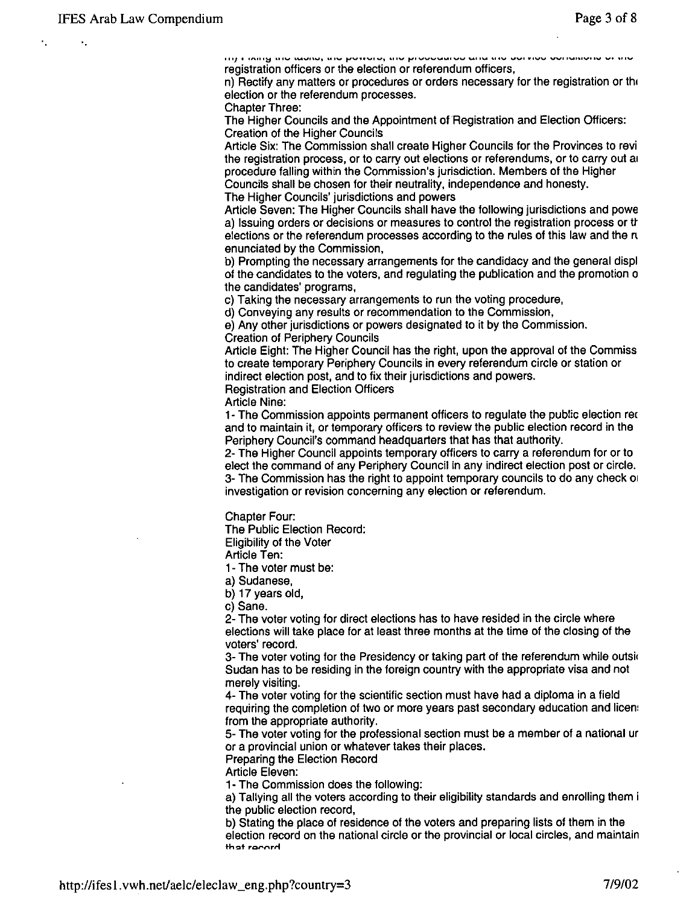$\epsilon_{\rm{B}}$ 

 $\overline{m_1}$  , indig the teene, the potters, the protection of entrated the set the exhibitions of this registration officers or the election or referendum officers,

n) Rectify any matters or procedures or orders necessary for the registration or th' election or the referendum processes.

Chapter Three:

The Higher Councils and the Appointment of Registration and Election Officers: Creation of the Higher Councils

Article Six: The Commission shall create Higher Councils for the Provinces to revi the registration process, or to carry out elections or referendums, or to carry out al procedure falling within the Commission's jurisdiction. Members of the Higher Councils shall be chosen for their neutrality, independence and honesty. The Higher Councils' jurisdictions and powers

Article Seven: The Higher Councils shall have the following jurisdictions and powe a) Issuing orders or decisions or measures to control the registration process or tt elections or the referendum processes according to the rules of this law and the n enunciated by the Commission,

b) Prompting the necessary arrangements for the candidacy and the general displ of the candidates to the voters, and regulating the publication and the promotion 0 the candidates' programs,

c) Taking the necessary arrangements to run the voting procedure,

d) Conveying any results or recommendation to the Commission,

e) Any other jurisdictions or powers designated to it by the Commission. Creation of Periphery Councils

Article Eight: The Higher Council has the right, upon the approval of the Commiss to create temporary Periphery Councils in every referendum circle or station or indirect election post, and to fix their jurisdictions and powers.

Registration and Election Officers

Article Nine:

1- The Commission appoints permanent officers to regulate the public election re( and to maintain it, or temporary officers to review the public election record in the Periphery Council's command headquarters that has that authority.

2- The Higher Council appoints temporary officers to carry a referendum for or to elect the command of any Periphery Council in any indirect election post or circle. 3- The Commission has the right to appoint temporary councils to do any check 01 investigation or revision concerning any election or referendum.

Chapter Four:

The Public Election Record:

Eligibility of the Voter

Article Ten:

1- The voter must be:

a) Sudanese,

b) 17 years old,

c) Sane.

2- The voter voting for direct elections has to have resided in the circle where elections will take place for at least three months at the time of the closing of the voters' record.

3- The voter voting for the Presidency or taking part of the referendum while outside Sudan has to be residing in the foreign country with the appropriate visa and not merely visiting.

4- The voter voting for the scientific section must have had a diploma in a field requiring the completion of two or more years past secondary education and licen' from the appropriate authority.

5- The voter voting for the professional section must be a member of a national ur or a provincial union or whatever takes their places.

Preparing the Election Record

Article Eleven:

1- The Commission does the following:

a) Tallying all the voters according to their eligibility standards and enrolling them i the public election record,

b) Stating the place of residence of the voters and preparing lists of them in the election record on the national circle or the provincial or local circles, and maintain that rocord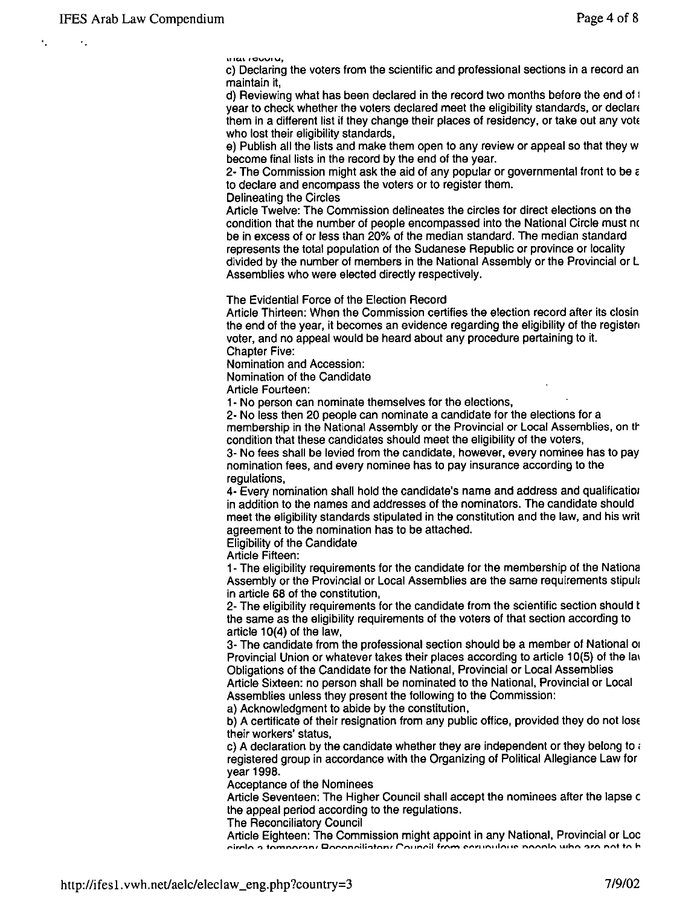$\ddot{\phantom{1}}$ 

~IIU\ **'10" .... ' U,** 

c) Declaring the voters from the scientific and professional sections in a record an maintain it,

d) Reviewing what has been declared in the record two months before the end of i year to check whether the voters declared meet the eligibility standards, or declare them in a different list if they change their places of residency, or take out any vote who lost their eligibility standards,

e) Publish all the lists and make them open to any review or appeal so that they w become final lists in the record by the end of the year.

2- The Commission might ask the aid of any popular or governmental front to be  $\varepsilon$ to declare and encompass the voters or to register them.

Delineating the Circles

Article Twelve: The Commission delineates the circles for direct elections on the condition that the number of people encompassed into the National Circle must nc be in excess of or less than 20% of the median standard. The median standard represents the total population of the Sudanese Republic or province or locality divided by the number of members in the National Assembly or the Provincial or L Assemblies who were elected directly respectively.

The Evidential Force of the Election Record

Article Thirteen: When the Commission certifies the election record after its closin the end of the year, it becomes an evidence regarding the eligibility of the registen voter, and no appeal would be heard about any procedure pertaining to it. Chapter Five:

Nomination and Accession:

Nomination of the Candidate

Article Fourteen:

1- No person can nominate themselves for the elections,

2- No less then 20 people can nominate a candidate for the elections for a membership in the National Assembly or the Provincial or Local Assemblies, on the condition that these candidates should meet the eligibility of the voters, 3- No fees shall be levied from the candidate, however, every nominee has to pay nomination fees, and every nominee has to pay insurance according to the

regulations,

4- Every nomination shall hold the candidate's name and address and qualificatiol in addition to the names and addresses of the nominators. The candidate should meet the eligibility standards stipulated in the constitution and the law, and his writ agreement to the nomination has to be attached.

Eligibility of the Candidate

Article Fifteen:

1- The eligibility requirements for the candidate for the membership of the Nationa Assembly or the Provincial or Local Assemblies are the same requirements stipul, in article 68 of the constitution,

2- The eligibility requirements for the candidate from the scientific section should t the same as the eligibility requirements of the voters of that section according to article 10(4) of the law,

3- The candidate from the professional section should be a member of National 01 Provincial Union or whatever takes their places according to article 10(5) of the lay Obligations of the Candidate for the National, Provincial or Local Assemblies Article Sixteen: no person shall be nominated to the National, Provincial or Local Assemblies unless they present the following to the Commission:

a) Acknowledgment to abide by the constitution,

b) A certificate of their resignation from any public office, provided they do not lose their workers' status,

c) A declaration by the candidate whether they are independent or they belong to  $\epsilon$ registered group in accordance with the Organizing of Political Allegiance Law for year 1998.

Acceptance of the Nominees

Article Seventeen: The Higher Council shall accept the nominees after the lapse c the appeal period according to the regulations.

The Reconciliatory Council

Article Eighteen: The Commission might appoint in any National, Provincial or Loc circle a temperant Peconciliatory Council from corunulation poople who are not to b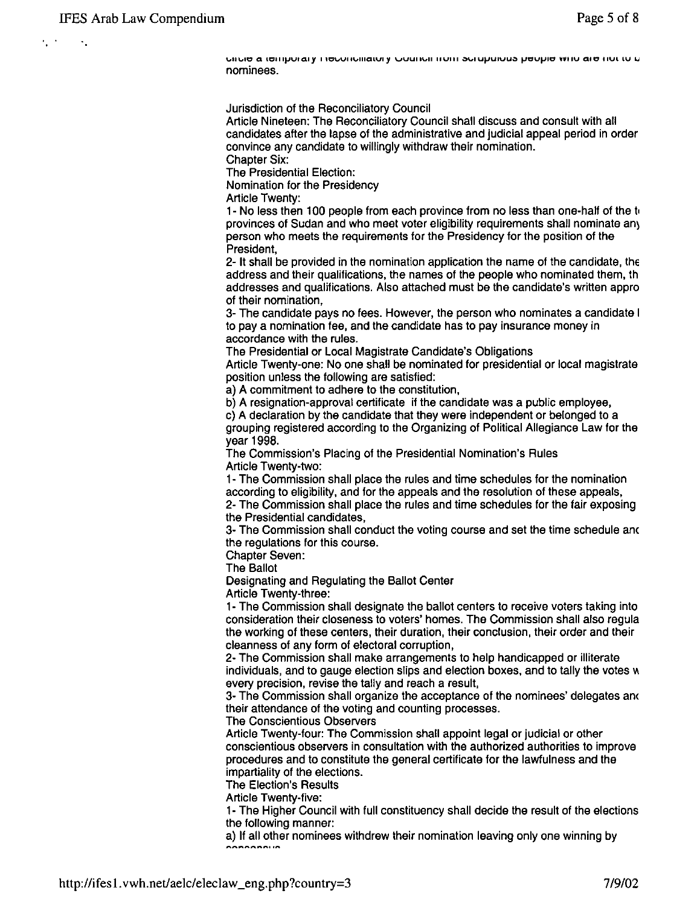$\epsilon_{\rm{1}}$  .

**\"111,,,110 a U::,IIIJJvrQry I tDUVllvlllQlVly VVUIIIJII IIVIII OlovIUtJU1VU» JJCUJJIO ""IV 010 IfUllU I.J**  nominees.

Jurisdiction of the Reconciliatory Council

Article Nineteen: The Reconciliatory Council shall discuss and consult with all candidates after the lapse of the administrative and judicial appeal period in order convince any candidate to willingly withdraw their nomination. Chapter Six:

The Presidential Election:

Nomination for the Presidency

Article Twenty:

1- No less then 100 people from each province from no less than one-half of the t, provinces of Sudan and who meet voter eligibility requirements shall nominate an) person who meets the requirements for the Presidency for the position of the President,

2- It shall be provided in the nomination application the name of the candidate, the address and their qualifications, the names of the people who nominated them, th addresses and qualifications. Also attached must be the candidate's written appro of their nomination,

3- The candidate pays no fees. However, the person who nominates a candidate I to pay a nomination fee, and the candidate has to pay insurance money in accordance with the rules.

The Presidential or Local Magistrate Candidate's Obligations

Article Twenty-one: No one shall be nominated for presidential or local magistrate position unless the following are satisfied:

a) A commitment to adhere to the constitution,

b) A resignation-approval certificate if the candidate was a public employee,

c) A declaration by the candidate that they were independent or belonged to a grouping registered according to the Organizing of Political Allegiance Law for the year 1998.

The Commission's Placing of the Presidential Nomination's Rules Article Twenty-two:

1- The Commission shall place the rules and time schedules for the nomination according to eligibility, and for the appeals and the resolution of these appeals, 2- The Commission shall place the rules and time schedules for the fair exposing

the Presidential candidates,

3- The Commission shall conduct the voting course and set the time schedule am the regulations for this course.

Chapter Seven:

The Ballot

Designating and Regulating the Ballot Center

Article Twenty-three:

1- The Commission shall designate the ballot centers to receive voters taking into consideration their closeness to voters' homes. The Commission shall also regula the working of these centers, their duration, their conclusion, their order and their cleanness of any form of electoral corruption,

2- The Commission shall make arrangements to help handicapped or illiterate  $i$ ndividuals, and to gauge election slips and election boxes, and to tally the votes  $$ every precision, revise the tally and reach a result,

3- The Commission shall organize the acceptance of the nominees' delegates an< their attendance of the voting and counting processes.

The Conscientious Observers

Article Twenty-four: The Commission shall appoint legal or judicial or other conscientious observers in consultation with the authorized authorities to improve procedures and to constitute the general certificate for the lawfulness and the impartiality of the elections.

The Election's Results

Article Twenty-five:

1- The Higher Council with full constituency shall decide the result of the elections the following manner:

a) If all other nominees withdrew their nomination leaving only one winning by  $\sim$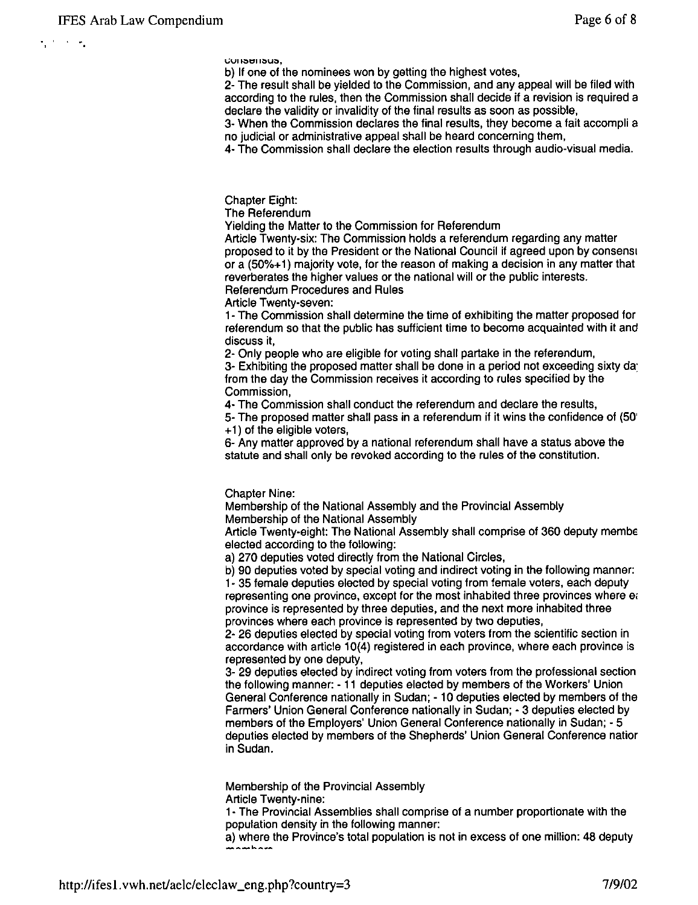-.

**....VII;:)t1II;::,U;:,.** 

b) If one of the nominees won by getting the highest votes,

2- The result shall be yielded to the Commission, and any appeal will be filed with according to the rules, then the Commission shall decide if a revision is required a declare the validity or invalidity of the final results as soon as possible,

3- When the Commission declares the final results, they become a fait accompli a no judicial or administrative appeal shall be heard concerning them,

4- The Commission shall declare the election results through audio-visual media.

Chapter Eight:

The Referendum

Yielding the Matter to the Commission for Referendum

Article Twenty-six: The Commission holds a referendum regarding any matter proposed to it by the President or the National Council if agreed upon by consensl or a (50%+1) majority vote, for the reason of making a decision in any matter that reverberates the higher values or the national will or the public interests. Referendum Procedures and Rules

Article Twenty-seven:

1- The Commission shall determine the time of exhibiting the matter proposed for referendum so that the public has sufficient time to become acquainted with it and discuss it,

2- Only people who are eligible for voting shall partake in the referendum,

3- Exhibiting the proposed matter shall be done in a period not exceeding sixty da: from the day the Commission receives it according to rules specified by the Commission,

4- The Commission shall conduct the referendum and declare the results,

5- The proposed matter shall pass in a referendum if it wins the confidence of (50' + 1) of the eligible voters,

6- Any matter approved by a national referendum shall have a status above the statute and shall only be revoked according to the rules of the constitution.

Chapter Nine:

Membership of the National Assembly and the Provincial Assembly Membership of the National Assembly

Article Twenty-eight: The National Assembly shall comprise of 360 deputy membe elected according to the following:

a) 270 deputies voted directly from the National Circles,

b) 90 deputies voted by special voting and indirect voting in the following manner: 1- 35 female deputies elected by special voting from female voters, each deputy representing one province, except for the most inhabited three provinces where et province is represented by three deputies, and the next more inhabited three provinces where each province is represented by two deputies,

2- 26 deputies elected by special voting from voters from the scientific section in accordance with article 10(4) registered in each province, where each province is represented by one deputy,

3- 29 deputies elected by indirect voting from voters from the professional section the following manner: - 11 deputies elected by members of the Workers' Union General Conference nationally in Sudan; - 10 deputies elected by members of the Farmers' Union General Conference nationally in Sudan; - 3 deputies elected by members of the Employers' Union General Conference nationally in Sudan; - 5 deputies elected by members of the Shepherds' Union General Conference natior in Sudan.

Membership of the Provincial Assembly Article Twenty-nine:

1- The Provincial Assemblies shall comprise of a number proportionate with the population density in the following manner:

a) where the Province's total population is not in excess of one million: 48 deputy **--\_ .... \_ ....**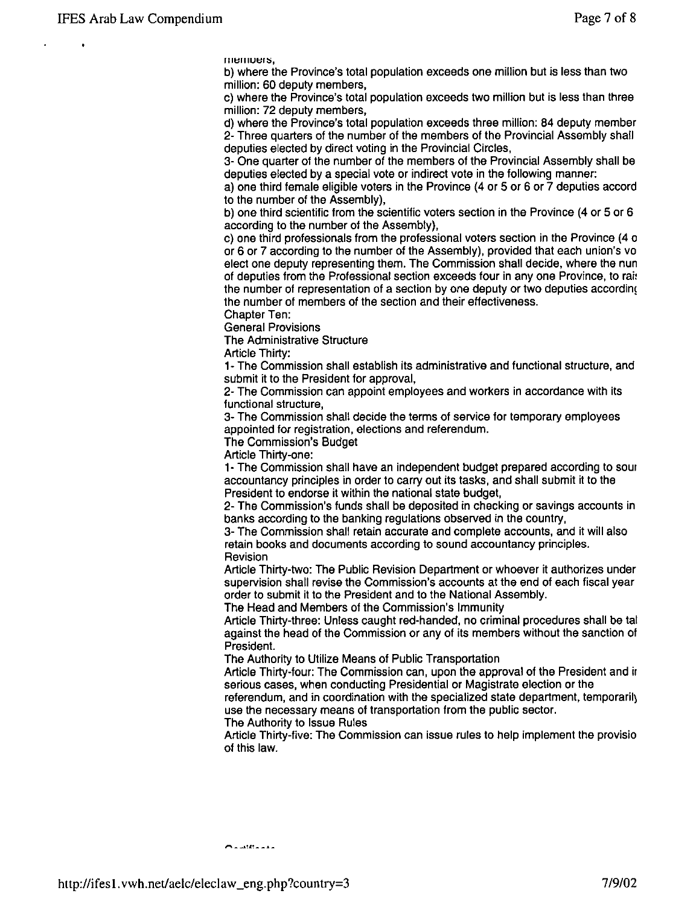IIIeniuers,

b) where the Province's total population exceeds one million but is less than two million: 60 deputy members,

c) where the Province's total population exceeds two million but is less than three million: 72 deputy members,

d) where the Province's total population exceeds three million: 84 deputy member 2- Three quarters of the number of the members of the Provincial Assembly shall deputies elected by direct voting in the Provincial Circles,

3- One quarter of the number of the members of the Provincial Assembly shall be deputies elected by a special vote or indirect vote in the following manner:

a) one third female eligible voters in the Province (4 or 5 or 6 or 7 deputies accord to the number of the Assembly),

b) one third scientific from the scientific voters section in the Province (4 or 5 or 6 according to the number of the Assembly),

c) one third professionals from the professional voters section in the Province (4 0 or 6 or 7 according to the number of the Assembly), provided that each union's vo elect one deputy representing them. The Commission shall decide, where the nun of deputies from the Professional section exceeds four in any one Province, to rait the number of representation of a section by one deputy or two deputies according the number of members of the section and their effectiveness.

Chapter Ten:

General Provisions

The Administrative Structure

Article Thirty:

1- The Commission shall establish its administrative and functional structure, and submit it to the President for approval,

2- The Commission can appoint employees and workers in accordance with its functional structure,

3- The Commission shall decide the terms of service for temporary employees appointed for registration, elections and referendum.

The Commission's Budget

Article Thirty-one:

1- The Commission shall have an independent budget prepared according to sour accountancy principles in order to carry out its tasks, and shall submit it to the President to endorse it within the national state budget,

2- The Commission's funds shall be deposited in checking or savings accounts in banks according to the banking regulations observed in the country,

3- The Commission shall retain accurate and complete accounts, and it will also retain books and documents according to sound accountancy principles. Revision

Article Thirty-two: The Public Revision Department or whoever it authorizes under supervision shall revise the Commission's accounts at the end of each fiscal year order to submit it to the President and to the National Assembly.

The Head and Members of the Commission's Immunity

Article Thirty-three: Unless caught red-handed, no criminal procedures shall be tal against the head of the Commission or any of its members without the sanction of President.

The Authority to Utilize Means of Public Transportation

Article Thirty-four: The Commission can, upon the approval of the President and if serious cases, when conducting Presidential or Magistrate election or the

referendum, and in coordination with the specialized state department, temporarily use the necessary means of transportation from the public sector.

The Authority to Issue Rules

Article Thirty-five: The Commission can issue rules to help implement the provisio of this law.

 $\sim$  . ... . . . . . .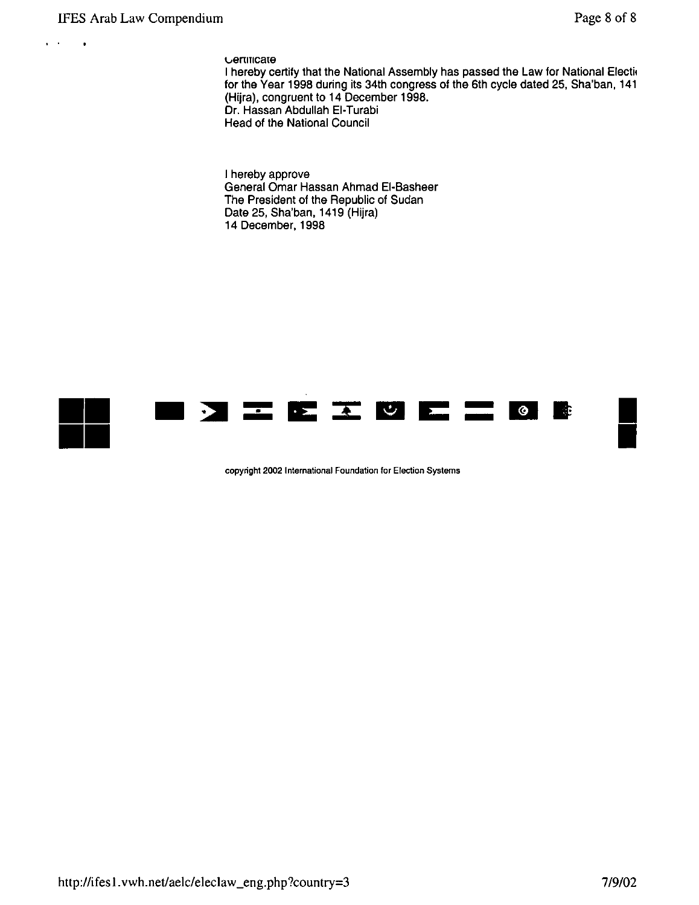$\mathbf{r} \rightarrow \mathbf{r}$ 

 $\mathcal{A}$ 

vertificate

I hereby certify that the National Assembly has passed the Law for National Electi, for the Year 1998 during its 34th congress of the 6th cycle dated 25, Sha'ban, 141 (Hijra), congruent to 14 December 1998. Dr. Hassan Abdullah EI-Turabi Head of the National Council

I hereby approve General Omar Hassan Ahmad EI-Basheer The President of the Republic of Sudan Date 25, Sha'ban, 1419 (Hijra) 14 December, 1998



**copyright 2002 International Foundation for Election Systems**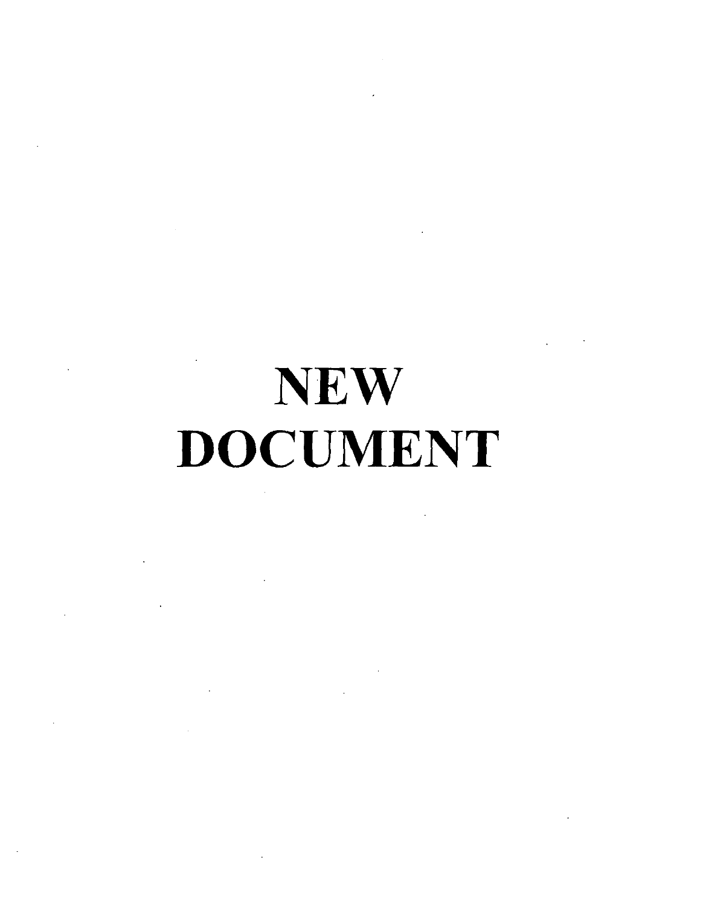# **NEW** DOCUMENT

 $\sim 10^{11}$  km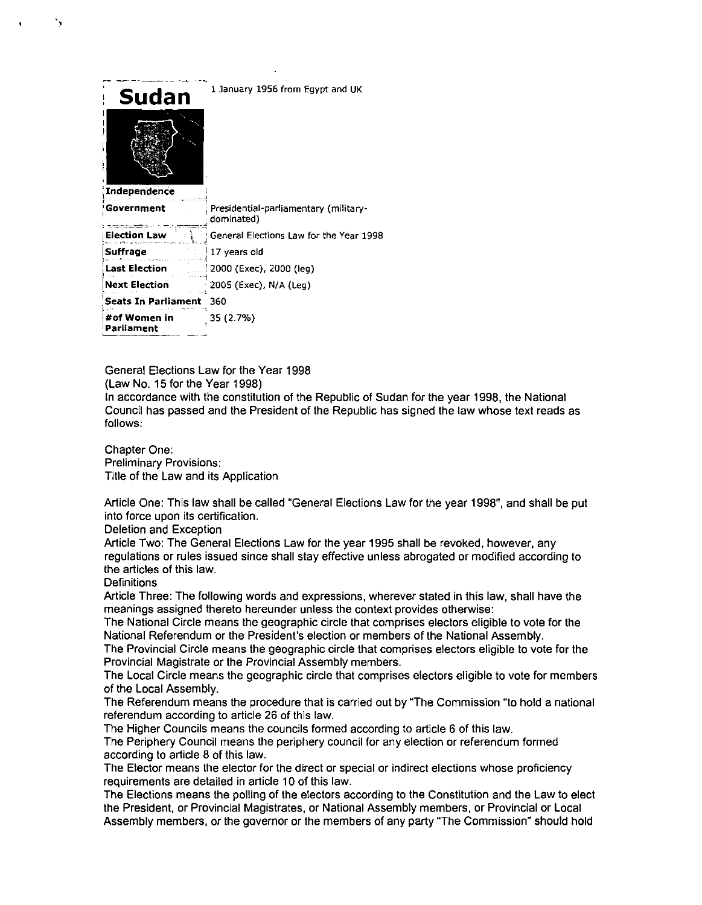| Sudan<br>Independence      | 1 January 1956 from Egypt and UK                    |
|----------------------------|-----------------------------------------------------|
| Government                 | Presidential-parliamentary (military-<br>dominated) |
| Election Law               | General Elections Law for the Year 1998             |
| Suffrage                   | 17 years old                                        |
| <b>Last Election</b>       | 2000 (Exec), 2000 (leg)                             |
| <b>Next Election</b>       | 2005 (Exec), N/A (Leg)                              |
| Seats In Parliament        | 360                                                 |
| #of Women in<br>Parliament | 35 (2.7%)                                           |

General Elections Law for the Year 1998 (Law No. 15 for the Year 1998)

In accordance with the constitution of the Republic of Sudan for the year 1998, the National Council has passed and the President of the Republic has signed the law whose text reads as follows:

Chapter One: Preliminary Provisions: Title of the Law and its Application

Article One: This law shall be called "General Elections Law for the year 1998", and shall be put into force upon its certification.

Deletion and Exception

Article Two: The General Elections Law for the year 1995 shall be revoked, however, any regulations or rules issued since shall stay effective unless abrogated or modified according to the articles of this law.

**Definitions** 

"

Article Three: The following words and expressions, wherever stated in this law, shall have the meanings assigned thereto hereunder unless the context provides otherwise:

The National Circle means the geographic circle that comprises electors eligible to vote for the National Referendum or the President's election or members of the National Assembly.

The Provincial Circle means the geographic circle that comprises electors eligible to vote for the Provincial Magistrate or the Provincial Assembly members.

The Local Circle means the geographic circle that comprises electors eligible to vote for members of the Local Assembly.

The Referendum means the procedure that is carried out by "The Commission "to hold a national referendum according to article 26 of this law.

The Higher Councils means the councils formed according to article 6 of this law.

The Periphery Council means the periphery council for any election or referendum formed according to article 8 of this law.

The Elector means the elector for the direct or special or indirect elections whose proficiency requirements are detailed in article 10 of this law.

The Elections means the polling of the electors according to the Constitution and the Law to elect the President, or Provincial Magistrates, or National Assembly members, or Provincial or Local Assembly members, or the governor or the members of any party "The Commission" should hold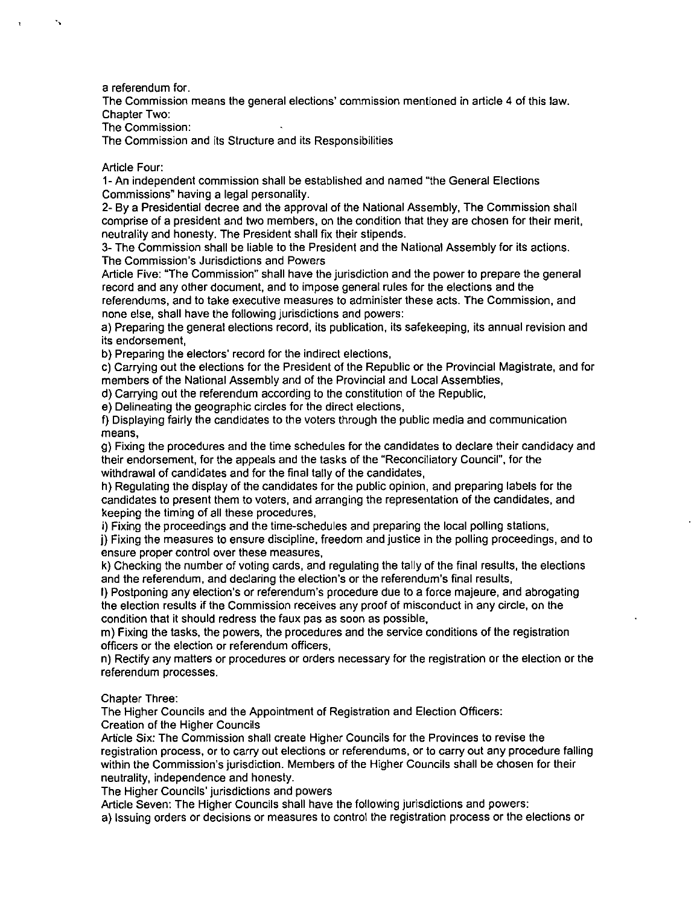a referendum for.

"

The Commission means the general elections' commission mentioned in article 4 of this law. Chapter Two:

The Commission:

The Commission and its Structure and its Responsibilities

## Article Four:

1- An independent commission shall be established and named "the General Elections Commissions" having a legal personality.

2- By a Presidential decree and the approval of the National Assembly, The Commission shall comprise of a president and two members, on the condition that they are chosen for their merit, neutrality and honesty. The President shall fix their stipends.

3- The Commission shall be liable to the President and the National Assembly for its actions. The Commission's Jurisdictions and Powers

Article Five: "The Commission" shall have the jurisdiction and the power to prepare the general record and any other document, and to impose general rules for the elections and the referendums, and to take executive measures to administer these acts. The Commission, and none else, shall have the following jurisdictions and powers:

a) Preparing the general elections record, its publication, its safekeeping, its annual revision and its endorsement,

b) Preparing the electors' record for the indirect elections,

c) Carrying out the elections for the President of the Republic or the Provincial Magistrate, and for members of the National Assembly and of the Provincial and Local Assemblies,

d) Carrying out the referendum according to the constitution of the Republic,

e) Delineating the geographic circles for the direct elections,

f) Displaying fairly the candidates to the voters through the public media and communication means,

g) Fixing the procedures and the time schedules for the candidates to declare their candidacy and their endorsement, for the appeals and the tasks of the "Reconciliatory Council", for the withdrawal of candidates and for the final tally of the candidates,

h) Regulating the display of the candidates for the public opinion, and preparing labels for the candidates to present them to voters, and arranging the representation of the candidates, and keeping the timing of all these procedures,

i) Fixing the proceedings and the time-schedules and preparing the local polling stations,

j) Fixing the measures to ensure discipline, freedom and justice in the polling proceedings, and to ensure proper control over these measures,

k) Checking the number of voting cards, and regulating the tally of the final results, the elections and the referendum, and declaring the election's or the referendum's final results,

I) Postponing any election's or referendum's procedure due to a force majeure, and abrogating the election results if the Commission receives any proof of misconduct in any circle, on the condition that it should redress the faux pas as soon as possible,

m) Fixing the tasks, the powers, the procedures and the service conditions of the registration officers or the election or referendum officers,

n) Rectify any matters or procedures or orders necessary for the registration or the election or the referendum processes.

### Chapter Three:

The Higher Councils and the Appointment of Registration and Election Officers: Creation of the Higher Councils

Article Six: The Commission shall create Higher Councils for the Provinces to revise the registration process, or to carry out elections or referendums, or to carry out any procedure falling within the Commission's jurisdiction. Members of the Higher Councils shall be chosen for their neutrality, independence and honesty.

The Higher Councils' jurisdictions and powers

Article Seven: The Higher Councils shall have the following jurisdictions and powers:

a) Issuing orders or decisions or measures to control the registration process or the elections or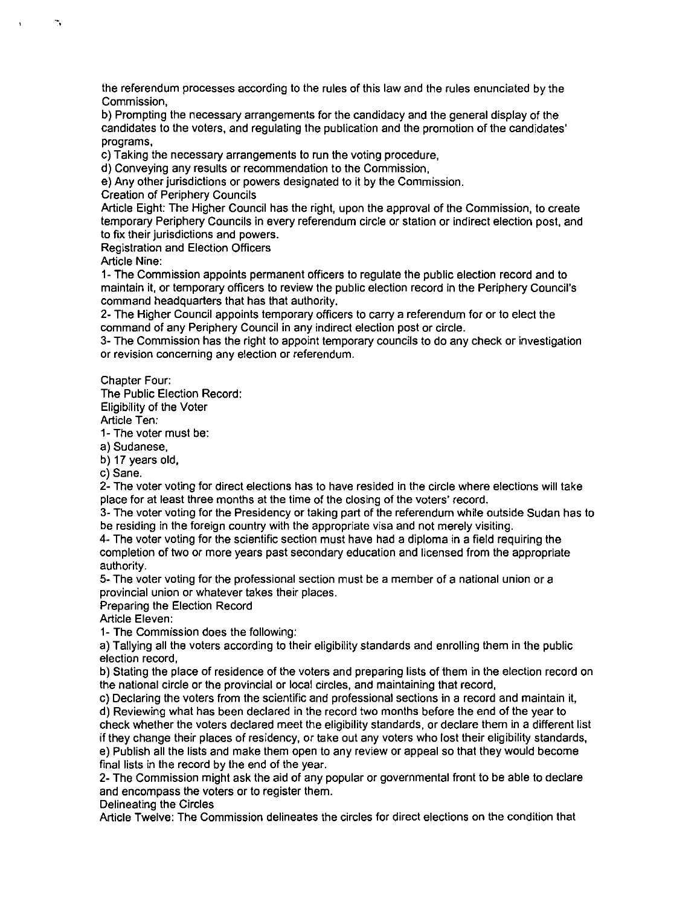the referendum processes according to the rules of this law and the rules enunciated by the Commission,

b) Prompting the necessary arrangements for the candidacy and the general display of the candidates to the voters, and regulating the publication and the promotion of the candidates' programs,

c) Taking the necessary arrangements to run the voting procedure,

d) Conveying any results or recommendation to the Commission,

e) Any other jurisdictions or powers designated to it by the Commission.

Creation of Periphery Councils

Article Eight: The Higher Council has the right, upon the approval of the Commission, to create temporary Periphery Councils in every referendum circle or station or indirect election post, and to fix their jurisdictions and powers.

Registration and Election Officers

Article Nine:

-,

1- The Commission appoints permanent officers to regulate the public election record and to maintain it, or temporary officers to review the public election record in the Periphery Council's command headquarters that has that authority.

2- The Higher Council appoints temporary officers to carry a referendum for or to elect the command of any Periphery Council in any indirect election post or circle.

3- The Commission has the right to appoint temporary councils to do any check or investigation or revision concerning any election or referendum.

Chapter Four:

The Public Election Record: Eligibility of the Voter

Article Ten:

1- The voter must be:

a) Sudanese,

b) 17 years old,

c) Sane.

2- The voter voting for direct elections has to have resided in the circle where elections will take place for at least three months at the time of the closing of the voters' record.

3- The voter voting for the Presidency or taking part of the referendum while outside Sudan has to be residing in the foreign country with the appropriate visa and not merely visiting.

4- The voter voting for the scientific section must have had a diploma in a field requiring the completion of two or more years past secondary education and licensed from the appropriate authority.

5- The voter voting for the professional section must be a member of a national union or a provincial union or whatever takes their places.

Preparing the Election Record

Article Eleven:

1- The Commission does the following:

a) Tallying all the voters according to their eligibility standards and enrolling them in the public election record,

b) Stating the place of residence of the voters and preparing lists of them in the election record on the national circle or the provincial or local circles, and maintaining that record,

c) Declaring the voters from the scientific and professional sections in a record and maintain it,

d) Reviewing what has been declared in the record two months before the end of the year to check whether the voters declared meet the eligibility standards, or declare them in a different list if they change their places of residency, or take out any voters who lost their eligibility standards, e) Publish all the lists and make them open to any review or appeal so that they would become final lists in the record by the end of the year.

2- The Commission might ask the aid of any popular or governmental front to be able to declare and encompass the voters or to register them.

Delineating the Circles

Article Twelve: The Commission delineates the circles for direct elections on the condition that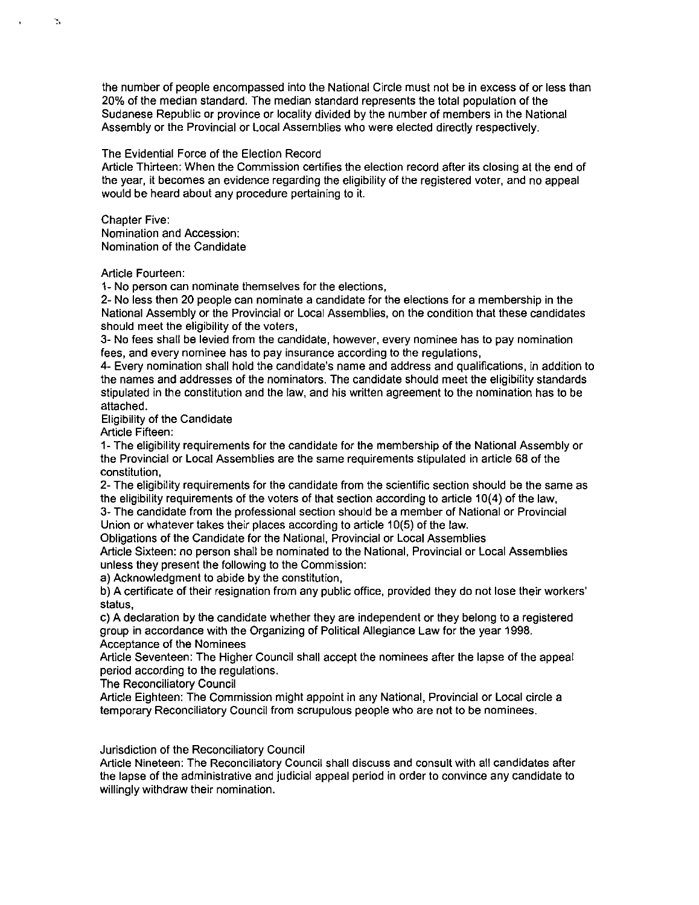the number of people encompassed into the National Circle must not be in excess of or less than 20% of the median standard. The median standard represents the total population of the Sudanese Republic or province or locality divided by the number of members in the National Assembly or the Provincial or Local Assemblies who were elected directly respectively.

### The Evidential Force of the Election Record

Article Thirteen: When the Commission certifies the election record after its closing at the end of the year, it becomes an evidence regarding the eligibility of the registered voter, and no appeal would be heard about any procedure pertaining to it.

Chapter Five: Nomination and Accession: Nomination of the Candidate

Article Fourteen:

1- No person can nominate themselves for the elections,

2- No less then 20 people can nominate a candidate for the elections for a membership in the National Assembly or the Provincial or Local Assemblies, on the condition that these candidates should meet the eligibility of the voters,

3- No fees shall be levied from the candidate, however, every nominee has to pay nomination fees, and every nominee has to pay insurance according to the regulations,

4- Every nomination shall hold the candidate's name and address and qualifications, in addition to the names and addresses of the nominators. The candidate should meet the eligibility standards stipulated in the constitution and the law, and his written agreement to the nomination has to be attached.

Eligibility of the Candidate

Article Fifteen:

1- The eligibility requirements for the candidate for the membership of the National Assembly or the Provincial or Local Assemblies are the same requirements stipulated in article 68 of the constitution,

2- The eligibility requirements for the candidate from the scientific section should be the same as the eligibility requirements of the voters of that section according to article 10(4) of the law,

3- The candidate from the professional section should be a member of National or Provincial Union or whatever takes their places according to article 10(5) of the law.

Obligations of the Candidate for the National, Provincial or Local Assemblies

Article Sixteen: no person shall be nominated to the National, Provincial or Local Assemblies unless they present the following to the Commission:

a) Acknowledgment to abide by the constitution,

b) A certificate of their resignation from any public office, provided they do not lose their workers' status,

c) A declaration by the candidate whether they are independent or they belong to a registered group in accordance with the Organizing of Political Allegiance Law for the year 1998. Acceptance of the Nominees

Article Seventeen: The Higher Council shall accept the nominees after the lapse of the appeal period according to the regulations.

The Reconciliatory Council

Article Eighteen: The Commission might appoint in any National, Provincial or Local circle a temporary Reconciliatory Council from scrupulous people who are not to be nominees.

Jurisdiction of the Reconciliatory Council

Article Nineteen: The Reconciliatory Council shall discuss and consult with all candidates after the lapse of the administrative and judicial appeal period in order to convince any candidate to willingly withdraw their nomination.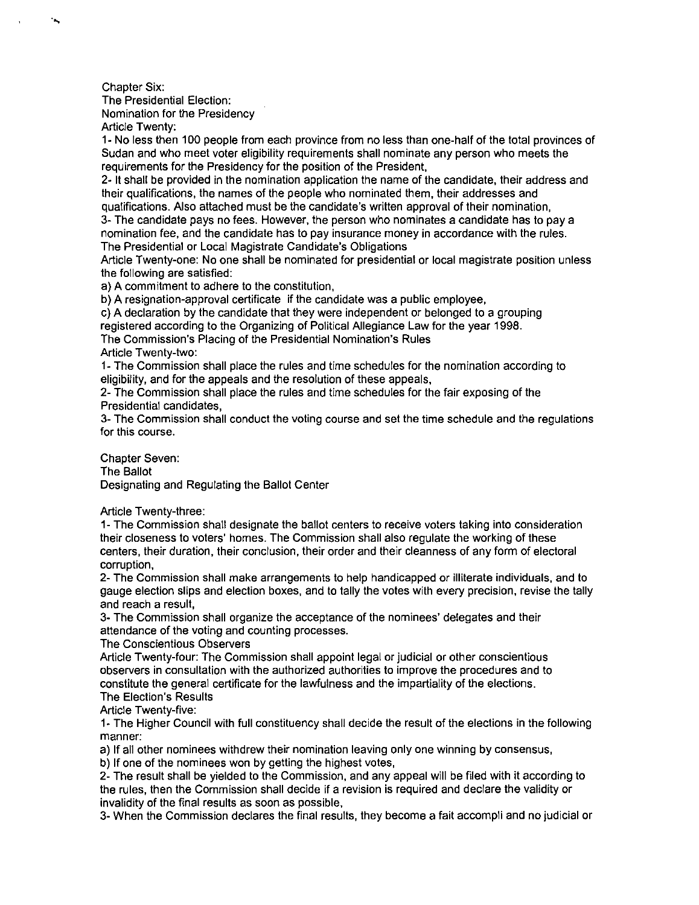Chapter Six: The Presidential Election: Nomination for the Presidency Article Twenty:

٠.

1- No less then 100 people from each province from no less than one-half of the total provinces of Sudan and who meet voter eligibility requirements shall nominate any person who meets the requirements for the Presidency for the position of the President,

2- It shall be provided in the nomination application the name of the candidate, their address and their qualifications, the names of the people who nominated them, their addresses and qualifications. Also attached must be the candidate's written approval of their nomination,

3- The candidate pays no fees. However, the person who nominates a candidate has to pay a nomination fee, and the candidate has to pay insurance money in accordance with the rules. The Presidential or Local Magistrate Candidate's Obligations

Article Twenty-one: No one shall be nominated for presidential or local magistrate position unless the following are satisfied:

a) A commitment to adhere to the constitution,

b) A resignation-approval certificate if the candidate was a public employee,

c) A declaration by the candidate that they were independent or belonged to a grouping registered according to the Organizing of Political Allegiance Law for the year 1998.

The Commission's Placing of the Presidential Nomination's Rules

Article Twenty-two:

1- The Commission shall place the rules and time schedules for the nomination according to eligibility, and for the appeals and the resolution of these appeals,

2- The Commission shall place the rules and time schedules for the fair exposing of the Presidential candidates,

3- The Commission shall conduct the voting course and set the time schedule and the regulations for this course.

Chapter Seven: The Ballot Designating and Regulating the Ballot Center

Article Twenty-three:

1- The Commission shall designate the ballot centers to receive voters taking into consideration their closeness to voters' homes. The Commission shall also regulate the working of these centers, their duration, their conclusion, their order and their cleanness of any form of electoral corruption,

2- The Commission shall make arrangements to help handicapped or illiterate individuals, and to gauge election slips and election boxes, and to tally the votes with every precision, revise the tally and reach a result,

3- The Commission shall organize the acceptance of the nominees' delegates and their attendance of the voting and counting processes.

The Conscientious Observers

Article Twenty-four: The Commission shall appoint legal or judicial or other conscientious observers in consultation with the authorized authorities to improve the procedures and to constitute the general certificate for the lawfulness and the impartiality of the elections. The Election's Results

Article Twenty-five:

1- The Higher Council with full constituency shall decide the result of the elections in the following manner:

a) If all other nominees withdrew their nomination leaving only one winning by consensus,

b) If one of the nominees won by getting the highest votes,

2- The result shall be yielded to the Commission, and any appeal will be filed with it according to the rules, then the Commission shall decide if a revision is required and declare the validity or invalidity of the final results as soon as possible,

3- When the Commission declares the final results, they become a fait accompli and no judicial or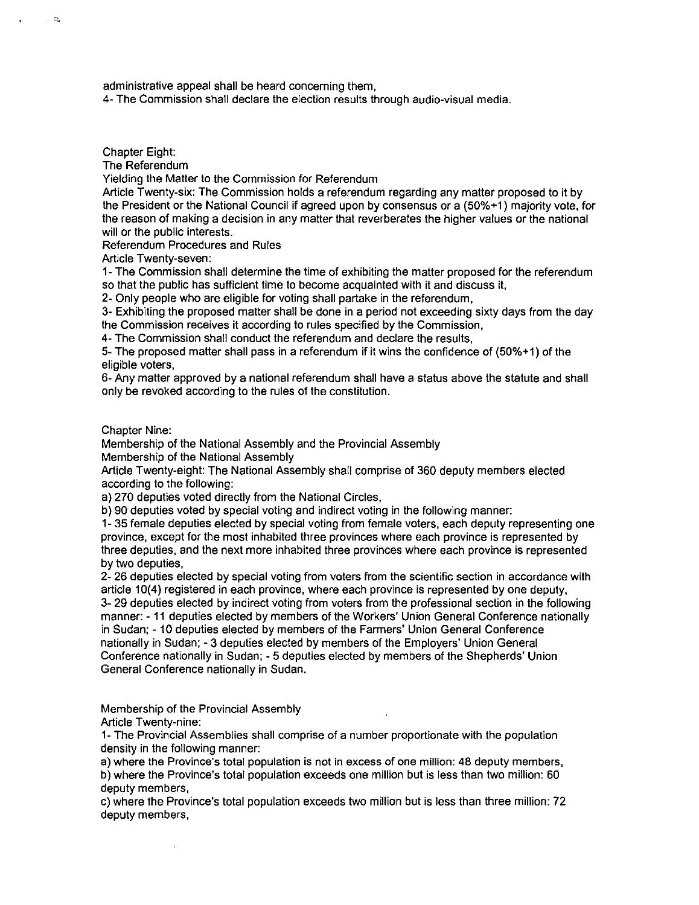administrative appeal shall be heard concerning them,

4- The Commission shall declare the election results through audio-visual media.

Chapter Eight:

 $\sim$   $\approx$ 

The Referendum

Yielding the Matter to the Commission for Referendum

Article Twenty-six: The Commission holds a referendum regarding any matter proposed to it by the President or the National Council if agreed upon by consensus or a (50%+1) majority vote, for the reason of making a decision in any matter that reverberates the higher values or the national will or the public interests.

Referendum Procedures and Rules

Article Twenty-seven:

1- The Commission shall determine the time of exhibiting the matter proposed for the referendum so that the public has sufficient time to become acquainted with it and discuss it,

2- Only people who are eligible for voting shall partake in the referendum,

3- Exhibiting the proposed matter shall be done in a period not exceeding sixty days from the day the Commission receives it according to rules specified by the Commission,

4- The Commission shall conduct the referendum and declare the results,

5- The proposed matter shall pass in a referendum if it wins the confidence of (50%+1) of the eligible voters,

6- Any matter approved by a national referendum shall have a status above the statute and shall only be revoked according to the rules of the constitution.

Chapter Nine:

Membership of the National Assembly and the Provincial Assembly

Membership of the National Assembly

Article Twenty-eight: The National Assembly shall comprise of 360 deputy members elected according to the following:

a) 270 deputies voted directly from the National Circles,

b) 90 deputies voted by special voting and indirect voting in the following manner:

1- 35 female deputies elected by special voting from female voters, each deputy representing one province, except for the most inhabited three provinces where each province is represented by three deputies, and the next more inhabited three provinces where each province is represented by two deputies,

2- 26 deputies elected by special voting from voters from the scientific section in accordance with article 10(4) registered in each province, where each province is represented by one deputy, 3- 29 deputies elected by indirect voting from voters from the professional section in the following manner: - 11 deputies elected by members of the Workers' Union General Conference nationally in Sudan; - 10 deputies elected by members of the Farmers' Union General Conference nationally in Sudan; - 3 deputies elected by members of the Employers' Union General

Conference nationally in Sudan; - 5 deputies elected by members of the Shepherds' Union General Conference nationally in Sudan.

Membership of the Provincial Assembly

Article Twenty-nine:

1- The Provincial Assemblies shall comprise of a number proportionate with the population density in the following manner:

a) where the Province's total population is not in excess of one million: 48 deputy members, b) where the Province's total population exceeds one million but is less than two million: 60 deputy members,

c) where the Province's total population exceeds two million but is less than three million: 72 deputy members,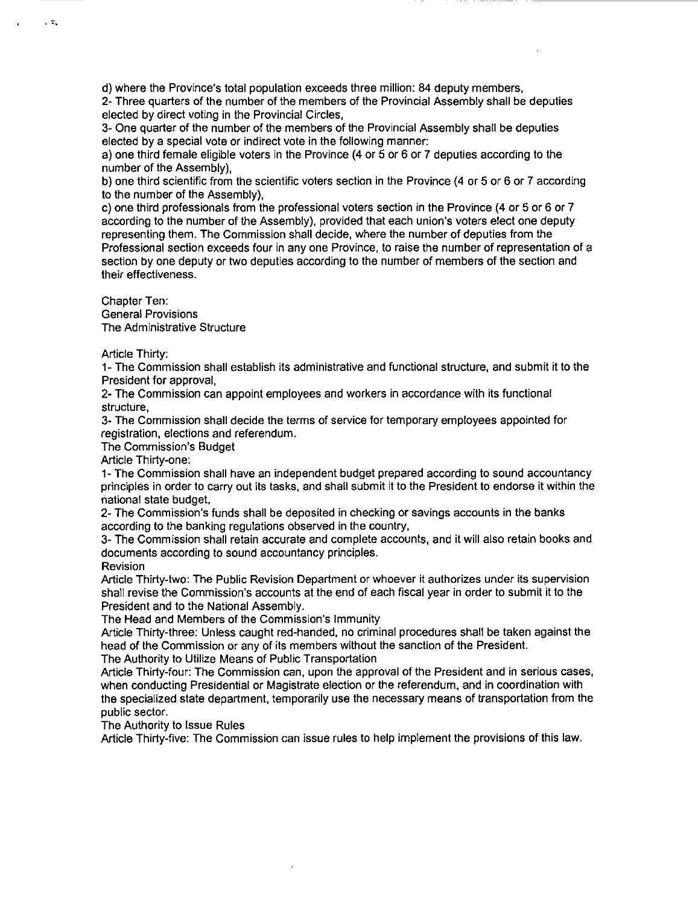d) where the Province's total population exceeds three million: 84 deputy members,

2- Three quarters of the number of the members of the Provincial Assembly shall be deputies elected by direct voting in the Provincial Circles,

- -- ------- - --------------

3- One quarter of the number of the members of the Provincial Assembly shall be deputies elected by a special vote or indirect vote in the following manner:

a) one third female eligible voters in the Province (4 or 5 or 6 or 7 deputies according to the number of the Assembly),

b) one third scientific from the scientific voters section in the Province (4 or 5 or 6 or 7 according to the number of the Assembly),

c) one third professionals from the professional voters section in the Province (4 or 5 or 6 or 7 according to the number of the Assembly), provided that each union's voters elect one deputy representing them. The Commission shall decide, where the number of deputies from the Professional section exceeds four in anyone Province, to raise the number of representation of a section by one deputy or two deputies according to the number of members of the section and their effectiveness.

Chapter Ten: General Provisions The Administrative Structure

Article Thirty:

 $\sim$   $\approx$ 

1- The Commission shall establish its administrative and functional structure, and submit it to the President for approval,

2- The Commission can appoint employees and workers in accordance with its functional structure,

3- The Commission shall decide the terms of service for temporary employees appointed for registration, elections and referendum.

The Commission's Budget

Article Thirty-one:

1- The Commission shall have an independent budget prepared according to sound accountancy principles in order to carry out its tasks, and shall submit it to the President to endorse it within the national state budget,

2- The Commission's funds shall be deposited in checking or savings accounts in the banks according to the banking regulations observed in the country,

3- The Commission shall retain accurate and complete accounts, and it will also retain books and documents according to sound accountancy principles.

**Revision** 

Article Thirty-two: The Public Revision Department or whoever it authorizes under its supervision shall revise the Commission's accounts at the end of each fiscal year in order to submit it to the President and to the National Assembly.

The Head and Members of the Commission's Immunity

Article Thirty-three: Unless caught red-handed, no criminal procedures shall be taken against the head of the Commission or any of its members without the sanction of the President. The Authority to Utilize Means of Public Transportation

Article Thirty-four: The Commission can, upon the approval of the President and in serious cases, when conducting Presidential or Magistrate election or the referendum, and in coordination with the specialized state department, temporarily use the necessary means of transportation from the public sector.

The Authority to Issue Rules

Article Thirty-five: The Commission can issue rules to help implement the provisions of this law.